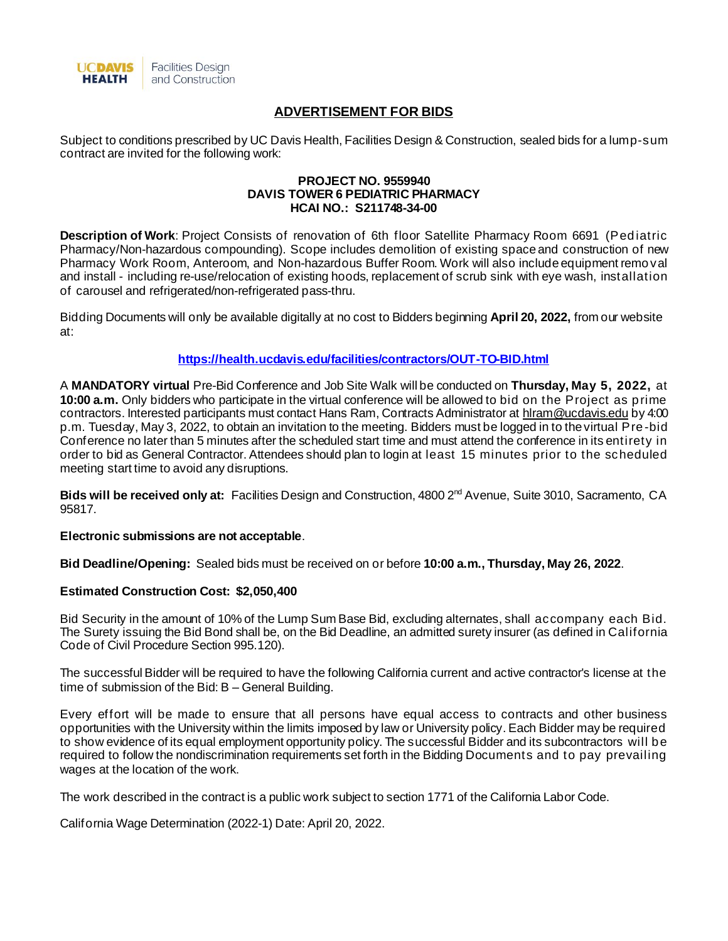

# **ADVERTISEMENT FOR BIDS**

Subject to conditions prescribed by UC Davis Health, Facilities Design & Construction, sealed bids for a lump-sum contract are invited for the following work:

#### **PROJECT NO. 9559940 DAVIS TOWER 6 PEDIATRIC PHARMACY HCAI NO.: S211748-34-00**

**Description of Work**: Project Consists of renovation of 6th floor Satellite Pharmacy Room 6691 (Pediatric Pharmacy/Non-hazardous compounding). Scope includes demolition of existing space and construction of new Pharmacy Work Room, Anteroom, and Non-hazardous Buffer Room. Work will also include equipment removal and install - including re-use/relocation of existing hoods, replacement of scrub sink with eye wash, installation of carousel and refrigerated/non-refrigerated pass-thru.

Bidding Documents will only be available digitally at no cost to Bidders beginning **April 20, 2022,** from our website at:

### **<https://health.ucdavis.edu/facilities/contractors/OUT-TO-BID.html>**

A **MANDATORY virtual** Pre-Bid Conference and Job Site Walk will be conducted on **Thursday, May 5, 2022,** at **10:00 a.m.** Only bidders who participate in the virtual conference will be allowed to bid on the Project as prime contractors. Interested participants must contact Hans Ram, Contracts Administrator a[t hlram@ucdavis.ed](mailto:hlram@ucdavis.ed)u by 4:00 p.m. Tuesday, May 3, 2022, to obtain an invitation to the meeting. Bidders must be logged in to the virtual Pre -bid Conference no later than 5 minutes after the scheduled start time and must attend the conference in its entirety in order to bid as General Contractor. Attendees should plan to login at least 15 minutes prior to the scheduled meeting start time to avoid any disruptions.

Bids will be received only at: Facilities Design and Construction, 4800 2<sup>nd</sup> Avenue, Suite 3010, Sacramento, CA 95817.

**Electronic submissions are not acceptable**.

**Bid Deadline/Opening:** Sealed bids must be received on or before **10:00 a.m., Thursday, May 26, 2022**.

### **Estimated Construction Cost: \$2,050,400**

Bid Security in the amount of 10% of the Lump Sum Base Bid, excluding alternates, shall accompany each Bid. The Surety issuing the Bid Bond shall be, on the Bid Deadline, an admitted surety insurer (as defined in California Code of Civil Procedure Section 995.120).

The successful Bidder will be required to have the following California current and active contractor's license at the time of submission of the Bid: B – General Building.

Every effort will be made to ensure that all persons have equal access to contracts and other business opportunities with the University within the limits imposed by law or University policy. Each Bidder may be required to show evidence of its equal employment opportunity policy. The successful Bidder and its subcontractors will be required to follow the nondiscrimination requirements set forth in the Bidding Documents and to pay prevailing wages at the location of the work.

The work described in the contract is a public work subject to section 1771 of the California Labor Code.

California Wage Determination (2022-1) Date: April 20, 2022.